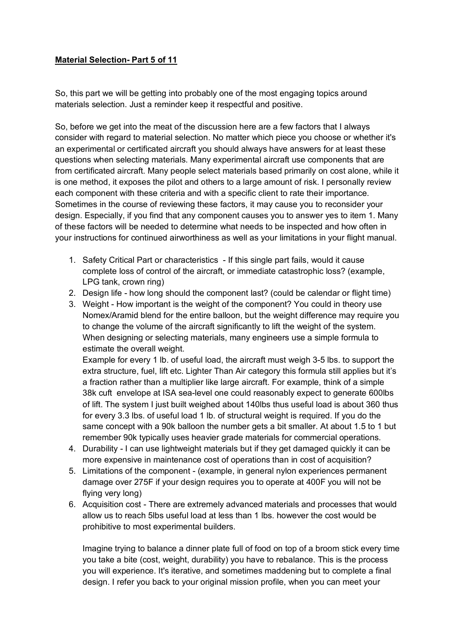## **Material Selection- Part 5 of 11**

So, this part we will be getting into probably one of the most engaging topics around materials selection. Just a reminder keep it respectful and positive.

So, before we get into the meat of the discussion here are a few factors that I always consider with regard to material selection. No matter which piece you choose or whether it's an experimental or certificated aircraft you should always have answers for at least these questions when selecting materials. Many experimental aircraft use components that are from certificated aircraft. Many people select materials based primarily on cost alone, while it is one method, it exposes the pilot and others to a large amount of risk. I personally review each component with these criteria and with a specific client to rate their importance. Sometimes in the course of reviewing these factors, it may cause you to reconsider your design. Especially, if you find that any component causes you to answer yes to item 1. Many of these factors will be needed to determine what needs to be inspected and how often in your instructions for continued airworthiness as well as your limitations in your flight manual.

- 1. Safety Critical Part or characteristics If this single part fails, would it cause complete loss of control of the aircraft, or immediate catastrophic loss? (example, LPG tank, crown ring)
- 2. Design life how long should the component last? (could be calendar or flight time)
- 3. Weight How important is the weight of the component? You could in theory use Nomex/Aramid blend for the entire balloon, but the weight difference may require you to change the volume of the aircraft significantly to lift the weight of the system. When designing or selecting materials, many engineers use a simple formula to estimate the overall weight.

Example for every 1 lb. of useful load, the aircraft must weigh 3-5 lbs. to support the extra structure, fuel, lift etc. Lighter Than Air category this formula still applies but it's a fraction rather than a multiplier like large aircraft. For example, think of a simple 38k cuft envelope at ISA sea-level one could reasonably expect to generate 600lbs of lift. The system I just built weighed about 140lbs thus useful load is about 360 thus for every 3.3 lbs. of useful load 1 lb. of structural weight is required. If you do the same concept with a 90k balloon the number gets a bit smaller. At about 1.5 to 1 but remember 90k typically uses heavier grade materials for commercial operations.

- 4. Durability I can use lightweight materials but if they get damaged quickly it can be more expensive in maintenance cost of operations than in cost of acquisition?
- 5. Limitations of the component (example, in general nylon experiences permanent damage over 275F if your design requires you to operate at 400F you will not be flying very long)
- 6. Acquisition cost There are extremely advanced materials and processes that would allow us to reach 5lbs useful load at less than 1 lbs. however the cost would be prohibitive to most experimental builders.

Imagine trying to balance a dinner plate full of food on top of a broom stick every time you take a bite (cost, weight, durability) you have to rebalance. This is the process you will experience. It's iterative, and sometimes maddening but to complete a final design. I refer you back to your original mission profile, when you can meet your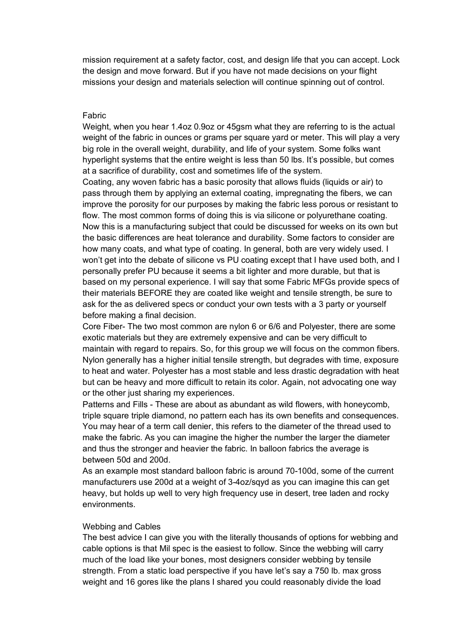mission requirement at a safety factor, cost, and design life that you can accept. Lock the design and move forward. But if you have not made decisions on your flight missions your design and materials selection will continue spinning out of control.

## Fabric

Weight, when you hear 1.4oz 0.9oz or 45gsm what they are referring to is the actual weight of the fabric in ounces or grams per square yard or meter. This will play a very big role in the overall weight, durability, and life of your system. Some folks want hyperlight systems that the entire weight is less than 50 lbs. It's possible, but comes at a sacrifice of durability, cost and sometimes life of the system.

Coating, any woven fabric has a basic porosity that allows fluids (liquids or air) to pass through them by applying an external coating, impregnating the fibers, we can improve the porosity for our purposes by making the fabric less porous or resistant to flow. The most common forms of doing this is via silicone or polyurethane coating. Now this is a manufacturing subject that could be discussed for weeks on its own but the basic differences are heat tolerance and durability. Some factors to consider are how many coats, and what type of coating. In general, both are very widely used. I won't get into the debate of silicone vs PU coating except that I have used both, and I personally prefer PU because it seems a bit lighter and more durable, but that is based on my personal experience. I will say that some Fabric MFGs provide specs of their materials BEFORE they are coated like weight and tensile strength, be sure to ask for the as delivered specs or conduct your own tests with a 3 party or yourself before making a final decision.

Core Fiber- The two most common are nylon 6 or 6/6 and Polyester, there are some exotic materials but they are extremely expensive and can be very difficult to maintain with regard to repairs. So, for this group we will focus on the common fibers. Nylon generally has a higher initial tensile strength, but degrades with time, exposure to heat and water. Polyester has a most stable and less drastic degradation with heat but can be heavy and more difficult to retain its color. Again, not advocating one way or the other just sharing my experiences.

Patterns and Fills - These are about as abundant as wild flowers, with honeycomb, triple square triple diamond, no pattern each has its own benefits and consequences. You may hear of a term call denier, this refers to the diameter of the thread used to make the fabric. As you can imagine the higher the number the larger the diameter and thus the stronger and heavier the fabric. In balloon fabrics the average is between 50d and 200d.

As an example most standard balloon fabric is around 70-100d, some of the current manufacturers use 200d at a weight of 3-4oz/sqyd as you can imagine this can get heavy, but holds up well to very high frequency use in desert, tree laden and rocky environments.

## Webbing and Cables

The best advice I can give you with the literally thousands of options for webbing and cable options is that Mil spec is the easiest to follow. Since the webbing will carry much of the load like your bones, most designers consider webbing by tensile strength. From a static load perspective if you have let's say a 750 lb. max gross weight and 16 gores like the plans I shared you could reasonably divide the load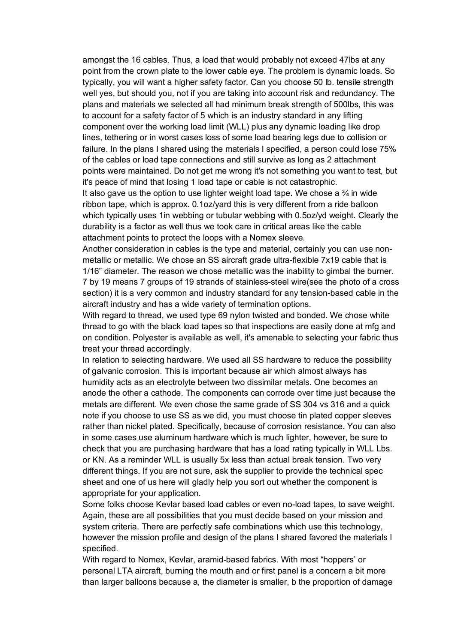amongst the 16 cables. Thus, a load that would probably not exceed 47lbs at any point from the crown plate to the lower cable eye. The problem is dynamic loads. So typically, you will want a higher safety factor. Can you choose 50 lb. tensile strength well yes, but should you, not if you are taking into account risk and redundancy. The plans and materials we selected all had minimum break strength of 500lbs, this was to account for a safety factor of 5 which is an industry standard in any lifting component over the working load limit (WLL) plus any dynamic loading like drop lines, tethering or in worst cases loss of some load bearing legs due to collision or failure. In the plans I shared using the materials I specified, a person could lose 75% of the cables or load tape connections and still survive as long as 2 attachment points were maintained. Do not get me wrong it's not something you want to test, but it's peace of mind that losing 1 load tape or cable is not catastrophic.

It also gave us the option to use lighter weight load tape. We chose a  $\frac{3}{4}$  in wide ribbon tape, which is approx. 0.1oz/yard this is very different from a ride balloon which typically uses 1in webbing or tubular webbing with 0.5oz/yd weight. Clearly the durability is a factor as well thus we took care in critical areas like the cable attachment points to protect the loops with a Nomex sleeve.

Another consideration in cables is the type and material, certainly you can use nonmetallic or metallic. We chose an SS aircraft grade ultra-flexible 7x19 cable that is 1/16" diameter. The reason we chose metallic was the inability to gimbal the burner. 7 by 19 means 7 groups of 19 strands of stainless-steel wire(see the photo of a cross section) it is a very common and industry standard for any tension-based cable in the aircraft industry and has a wide variety of termination options.

With regard to thread, we used type 69 nylon twisted and bonded. We chose white thread to go with the black load tapes so that inspections are easily done at mfg and on condition. Polyester is available as well, it's amenable to selecting your fabric thus treat your thread accordingly.

In relation to selecting hardware. We used all SS hardware to reduce the possibility of galvanic corrosion. This is important because air which almost always has humidity acts as an electrolyte between two dissimilar metals. One becomes an anode the other a cathode. The components can corrode over time just because the metals are different. We even chose the same grade of SS 304 vs 316 and a quick note if you choose to use SS as we did, you must choose tin plated copper sleeves rather than nickel plated. Specifically, because of corrosion resistance. You can also in some cases use aluminum hardware which is much lighter, however, be sure to check that you are purchasing hardware that has a load rating typically in WLL Lbs. or KN. As a reminder WLL is usually 5x less than actual break tension. Two very different things. If you are not sure, ask the supplier to provide the technical spec sheet and one of us here will gladly help you sort out whether the component is appropriate for your application.

Some folks choose Kevlar based load cables or even no-load tapes, to save weight. Again, these are all possibilities that you must decide based on your mission and system criteria. There are perfectly safe combinations which use this technology, however the mission profile and design of the plans I shared favored the materials I specified.

With regard to Nomex, Kevlar, aramid-based fabrics. With most "hoppers' or personal LTA aircraft, burning the mouth and or first panel is a concern a bit more than larger balloons because a, the diameter is smaller, b the proportion of damage